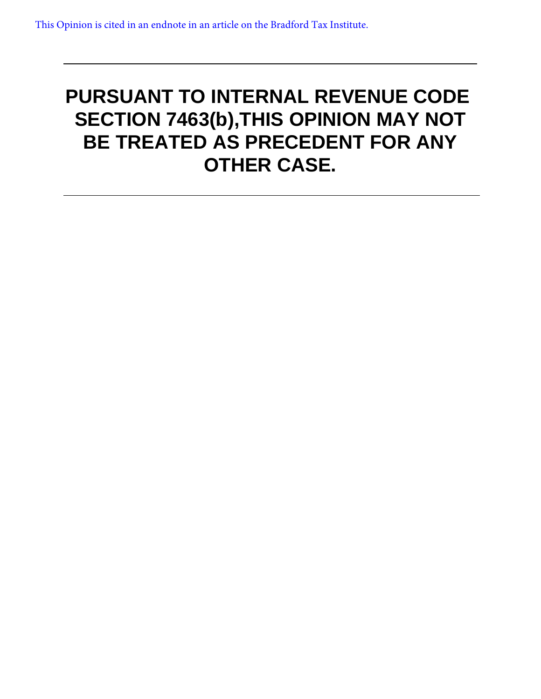# **PURSUANT TO INTERNAL REVENUE CODE SECTION 7463(b),THIS OPINION MAY NOT BE TREATED AS PRECEDENT FOR ANY OTHER CASE.**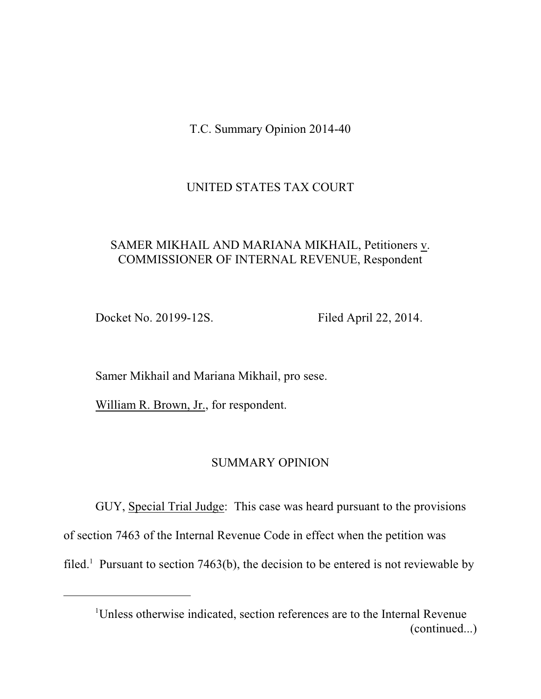T.C. Summary Opinion 2014-40

# UNITED STATES TAX COURT

# SAMER MIKHAIL AND MARIANA MIKHAIL, Petitioners v. COMMISSIONER OF INTERNAL REVENUE, Respondent

Docket No. 20199-12S. Filed April 22, 2014.

Samer Mikhail and Mariana Mikhail, pro sese.

William R. Brown, Jr., for respondent.

## SUMMARY OPINION

GUY, Special Trial Judge: This case was heard pursuant to the provisions of section 7463 of the Internal Revenue Code in effect when the petition was filed.<sup>1</sup> Pursuant to section 7463(b), the decision to be entered is not reviewable by

<sup>&</sup>lt;sup>1</sup>Unless otherwise indicated, section references are to the Internal Revenue (continued...)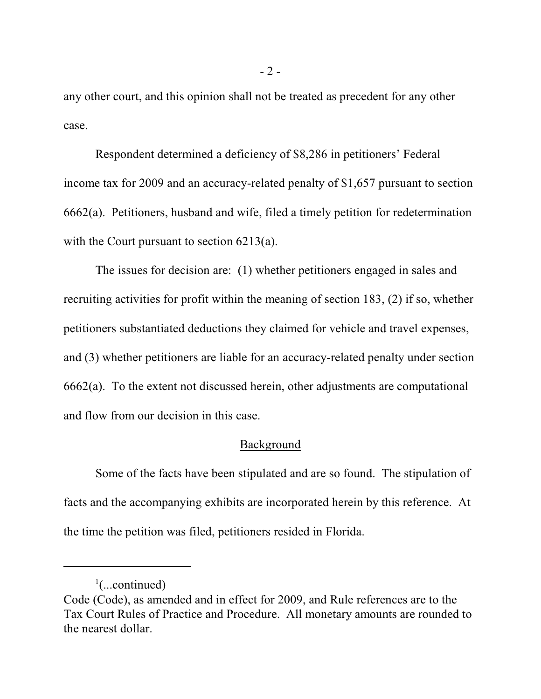any other court, and this opinion shall not be treated as precedent for any other case.

Respondent determined a deficiency of \$8,286 in petitioners' Federal income tax for 2009 and an accuracy-related penalty of \$1,657 pursuant to section 6662(a). Petitioners, husband and wife, filed a timely petition for redetermination with the Court pursuant to section 6213(a).

The issues for decision are: (1) whether petitioners engaged in sales and recruiting activities for profit within the meaning of section 183, (2) if so, whether petitioners substantiated deductions they claimed for vehicle and travel expenses, and (3) whether petitioners are liable for an accuracy-related penalty under section 6662(a). To the extent not discussed herein, other adjustments are computational and flow from our decision in this case.

## Background

Some of the facts have been stipulated and are so found. The stipulation of facts and the accompanying exhibits are incorporated herein by this reference. At the time the petition was filed, petitioners resided in Florida.

 $\frac{1}{2}$ (...continued)

Code (Code), as amended and in effect for 2009, and Rule references are to the Tax Court Rules of Practice and Procedure. All monetary amounts are rounded to the nearest dollar.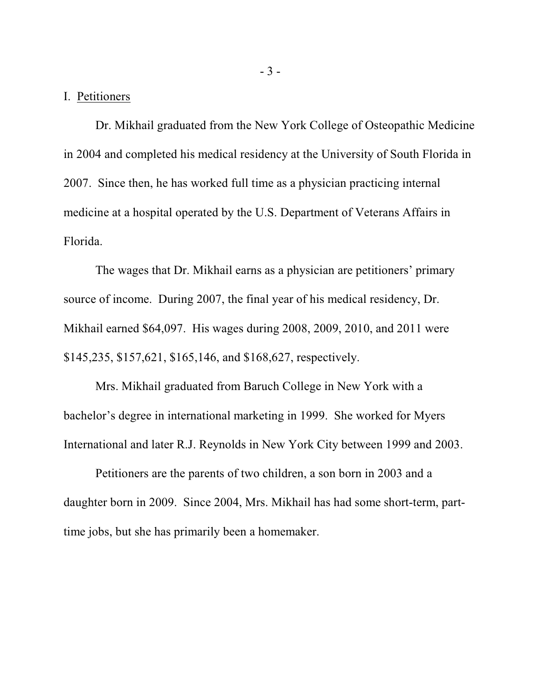#### I. Petitioners

Dr. Mikhail graduated from the New York College of Osteopathic Medicine in 2004 and completed his medical residency at the University of South Florida in 2007. Since then, he has worked full time as a physician practicing internal medicine at a hospital operated by the U.S. Department of Veterans Affairs in Florida.

The wages that Dr. Mikhail earns as a physician are petitioners' primary source of income. During 2007, the final year of his medical residency, Dr. Mikhail earned \$64,097. His wages during 2008, 2009, 2010, and 2011 were \$145,235, \$157,621, \$165,146, and \$168,627, respectively.

Mrs. Mikhail graduated from Baruch College in New York with a bachelor's degree in international marketing in 1999. She worked for Myers International and later R.J. Reynolds in New York City between 1999 and 2003.

Petitioners are the parents of two children, a son born in 2003 and a daughter born in 2009. Since 2004, Mrs. Mikhail has had some short-term, parttime jobs, but she has primarily been a homemaker.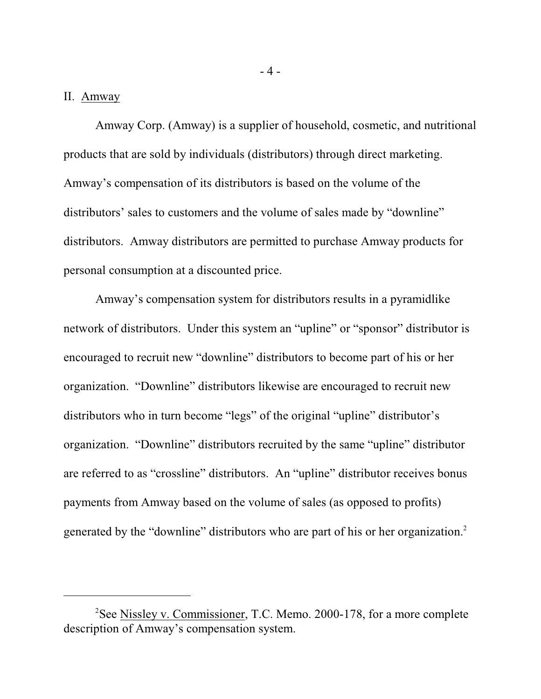#### II. Amway

Amway Corp. (Amway) is a supplier of household, cosmetic, and nutritional products that are sold by individuals (distributors) through direct marketing. Amway's compensation of its distributors is based on the volume of the distributors' sales to customers and the volume of sales made by "downline" distributors. Amway distributors are permitted to purchase Amway products for personal consumption at a discounted price.

Amway's compensation system for distributors results in a pyramidlike network of distributors. Under this system an "upline" or "sponsor" distributor is encouraged to recruit new "downline" distributors to become part of his or her organization. "Downline" distributors likewise are encouraged to recruit new distributors who in turn become "legs" of the original "upline" distributor's organization. "Downline" distributors recruited by the same "upline" distributor are referred to as "crossline" distributors. An "upline" distributor receives bonus payments from Amway based on the volume of sales (as opposed to profits) generated by the "downline" distributors who are part of his or her organization.<sup>2</sup>

<sup>&</sup>lt;sup>2</sup>See Nissley v. Commissioner, T.C. Memo. 2000-178, for a more complete description of Amway's compensation system.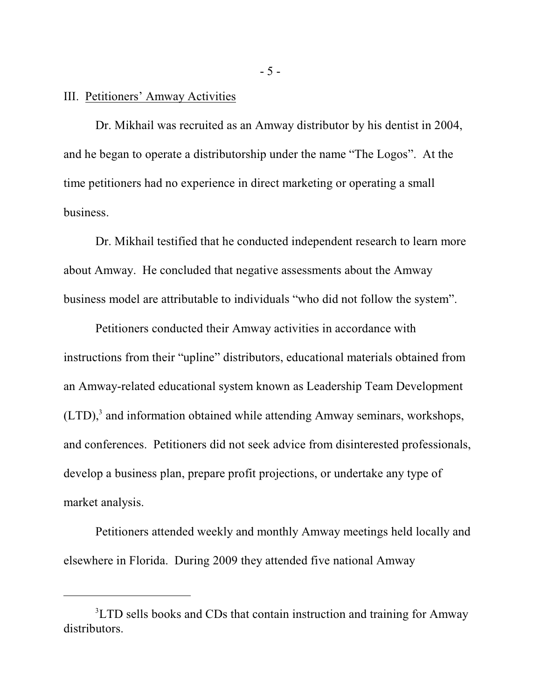#### III. Petitioners' Amway Activities

Dr. Mikhail was recruited as an Amway distributor by his dentist in 2004, and he began to operate a distributorship under the name "The Logos". At the time petitioners had no experience in direct marketing or operating a small business.

Dr. Mikhail testified that he conducted independent research to learn more about Amway. He concluded that negative assessments about the Amway business model are attributable to individuals "who did not follow the system".

Petitioners conducted their Amway activities in accordance with instructions from their "upline" distributors, educational materials obtained from an Amway-related educational system known as Leadership Team Development  $(LTD)$ , and information obtained while attending Amway seminars, workshops, and conferences. Petitioners did not seek advice from disinterested professionals, develop a business plan, prepare profit projections, or undertake any type of market analysis.

Petitioners attended weekly and monthly Amway meetings held locally and elsewhere in Florida. During 2009 they attended five national Amway

- 5 -

<sup>&</sup>lt;sup>3</sup>LTD sells books and CDs that contain instruction and training for Amway distributors.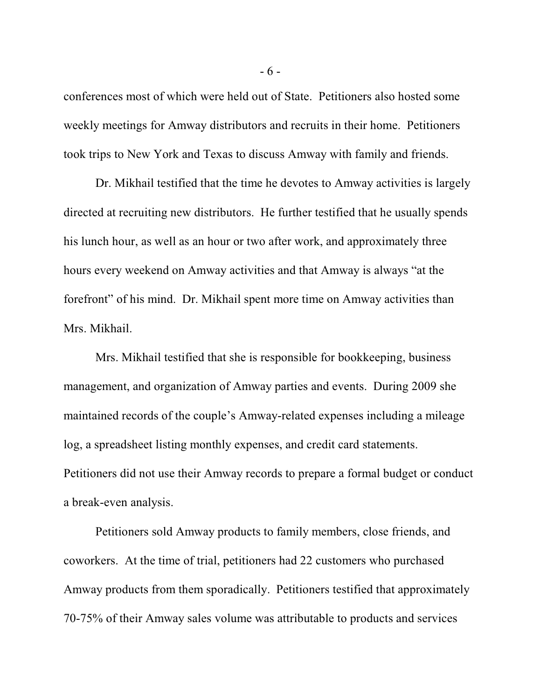conferences most of which were held out of State. Petitioners also hosted some weekly meetings for Amway distributors and recruits in their home. Petitioners took trips to New York and Texas to discuss Amway with family and friends.

Dr. Mikhail testified that the time he devotes to Amway activities is largely directed at recruiting new distributors. He further testified that he usually spends his lunch hour, as well as an hour or two after work, and approximately three hours every weekend on Amway activities and that Amway is always "at the forefront" of his mind. Dr. Mikhail spent more time on Amway activities than Mrs. Mikhail.

Mrs. Mikhail testified that she is responsible for bookkeeping, business management, and organization of Amway parties and events. During 2009 she maintained records of the couple's Amway-related expenses including a mileage log, a spreadsheet listing monthly expenses, and credit card statements. Petitioners did not use their Amway records to prepare a formal budget or conduct a break-even analysis.

Petitioners sold Amway products to family members, close friends, and coworkers. At the time of trial, petitioners had 22 customers who purchased Amway products from them sporadically. Petitioners testified that approximately 70-75% of their Amway sales volume was attributable to products and services

- 6 -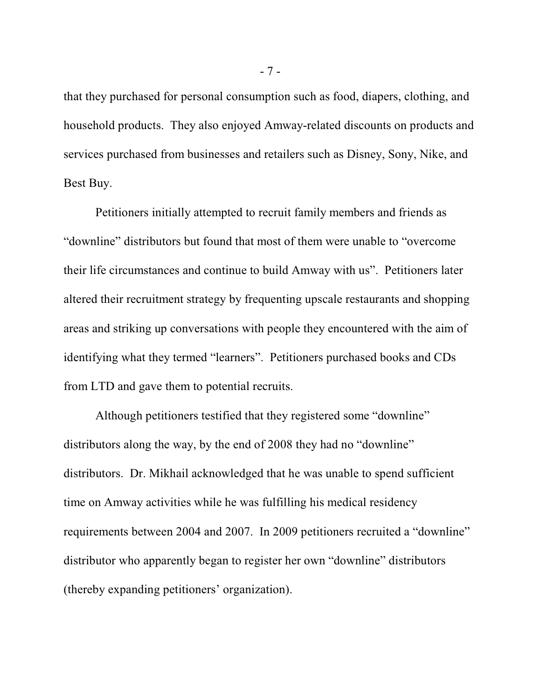that they purchased for personal consumption such as food, diapers, clothing, and household products. They also enjoyed Amway-related discounts on products and services purchased from businesses and retailers such as Disney, Sony, Nike, and Best Buy.

Petitioners initially attempted to recruit family members and friends as "downline" distributors but found that most of them were unable to "overcome their life circumstances and continue to build Amway with us". Petitioners later altered their recruitment strategy by frequenting upscale restaurants and shopping areas and striking up conversations with people they encountered with the aim of identifying what they termed "learners". Petitioners purchased books and CDs from LTD and gave them to potential recruits.

Although petitioners testified that they registered some "downline" distributors along the way, by the end of 2008 they had no "downline" distributors. Dr. Mikhail acknowledged that he was unable to spend sufficient time on Amway activities while he was fulfilling his medical residency requirements between 2004 and 2007. In 2009 petitioners recruited a "downline" distributor who apparently began to register her own "downline" distributors (thereby expanding petitioners' organization).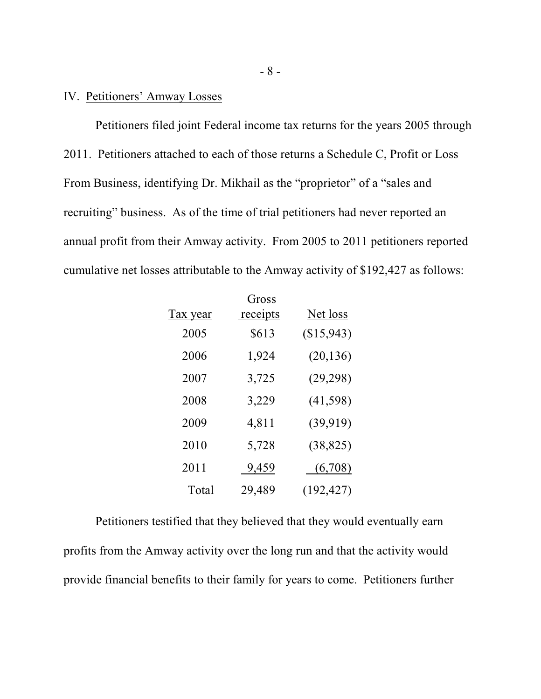## IV. Petitioners' Amway Losses

Petitioners filed joint Federal income tax returns for the years 2005 through 2011. Petitioners attached to each of those returns a Schedule C, Profit or Loss From Business, identifying Dr. Mikhail as the "proprietor" of a "sales and recruiting" business. As of the time of trial petitioners had never reported an annual profit from their Amway activity. From 2005 to 2011 petitioners reported cumulative net losses attributable to the Amway activity of \$192,427 as follows:

| Tax year | Gross<br>receipts | Net loss   |
|----------|-------------------|------------|
| 2005     | \$613             | (\$15,943) |
| 2006     | 1,924             | (20, 136)  |
| 2007     | 3,725             | (29, 298)  |
| 2008     | 3,229             | (41, 598)  |
| 2009     | 4,811             | (39, 919)  |
| 2010     | 5,728             | (38, 825)  |
| 2011     | 9,459             | (6,708)    |
| Total    | 29,489            | (192, 427) |

Petitioners testified that they believed that they would eventually earn profits from the Amway activity over the long run and that the activity would provide financial benefits to their family for years to come. Petitioners further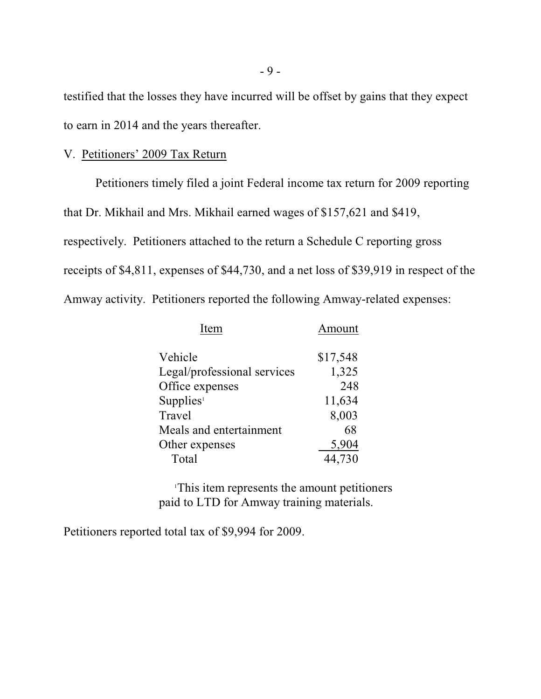testified that the losses they have incurred will be offset by gains that they expect to earn in 2014 and the years thereafter.

## V. Petitioners' 2009 Tax Return

Petitioners timely filed a joint Federal income tax return for 2009 reporting that Dr. Mikhail and Mrs. Mikhail earned wages of \$157,621 and \$419, respectively. Petitioners attached to the return a Schedule C reporting gross receipts of \$4,811, expenses of \$44,730, and a net loss of \$39,919 in respect of the Amway activity. Petitioners reported the following Amway-related expenses:

| Item                        | Amount   |
|-----------------------------|----------|
| Vehicle                     | \$17,548 |
| Legal/professional services | 1,325    |
| Office expenses             | 248      |
| Supplies <sup>1</sup>       | 11,634   |
| Travel                      | 8,003    |
| Meals and entertainment     | 68       |
| Other expenses              | 5,904    |
| Total                       | 44,730   |

<sup>1</sup>This item represents the amount petitioners paid to LTD for Amway training materials.

Petitioners reported total tax of \$9,994 for 2009.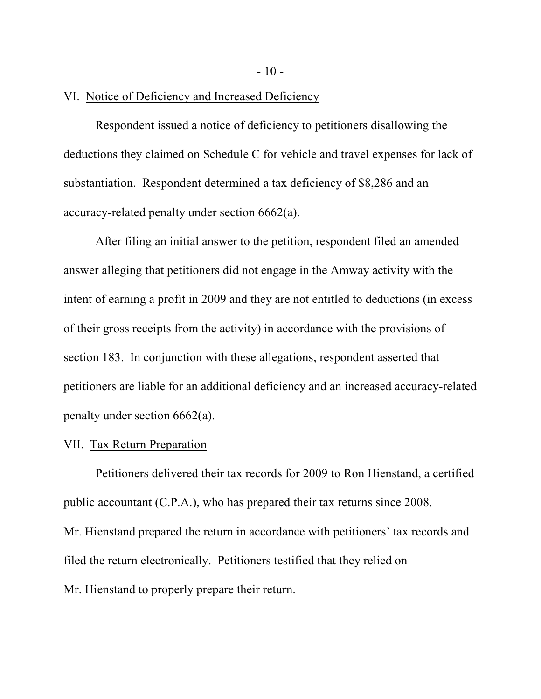VI. Notice of Deficiency and Increased Deficiency

Respondent issued a notice of deficiency to petitioners disallowing the deductions they claimed on Schedule C for vehicle and travel expenses for lack of substantiation. Respondent determined a tax deficiency of \$8,286 and an accuracy-related penalty under section 6662(a).

After filing an initial answer to the petition, respondent filed an amended answer alleging that petitioners did not engage in the Amway activity with the intent of earning a profit in 2009 and they are not entitled to deductions (in excess of their gross receipts from the activity) in accordance with the provisions of section 183. In conjunction with these allegations, respondent asserted that petitioners are liable for an additional deficiency and an increased accuracy-related penalty under section 6662(a).

## VII. Tax Return Preparation

Petitioners delivered their tax records for 2009 to Ron Hienstand, a certified public accountant (C.P.A.), who has prepared their tax returns since 2008. Mr. Hienstand prepared the return in accordance with petitioners' tax records and filed the return electronically. Petitioners testified that they relied on Mr. Hienstand to properly prepare their return.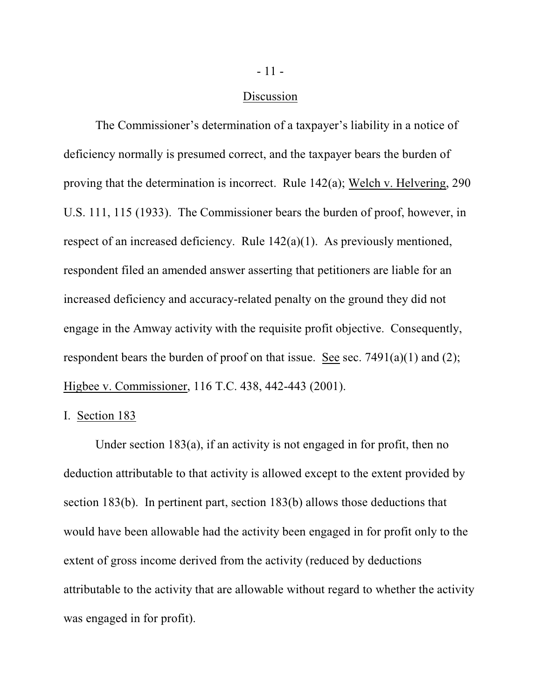#### Discussion

The Commissioner's determination of a taxpayer's liability in a notice of deficiency normally is presumed correct, and the taxpayer bears the burden of proving that the determination is incorrect. Rule 142(a); Welch v. Helvering, 290 U.S. 111, 115 (1933). The Commissioner bears the burden of proof, however, in respect of an increased deficiency. Rule 142(a)(1). As previously mentioned, respondent filed an amended answer asserting that petitioners are liable for an increased deficiency and accuracy-related penalty on the ground they did not engage in the Amway activity with the requisite profit objective. Consequently, respondent bears the burden of proof on that issue. See sec.  $7491(a)(1)$  and  $(2)$ ; Higbee v. Commissioner, 116 T.C. 438, 442-443 (2001).

#### I. Section 183

Under section 183(a), if an activity is not engaged in for profit, then no deduction attributable to that activity is allowed except to the extent provided by section 183(b). In pertinent part, section 183(b) allows those deductions that would have been allowable had the activity been engaged in for profit only to the extent of gross income derived from the activity (reduced by deductions attributable to the activity that are allowable without regard to whether the activity was engaged in for profit).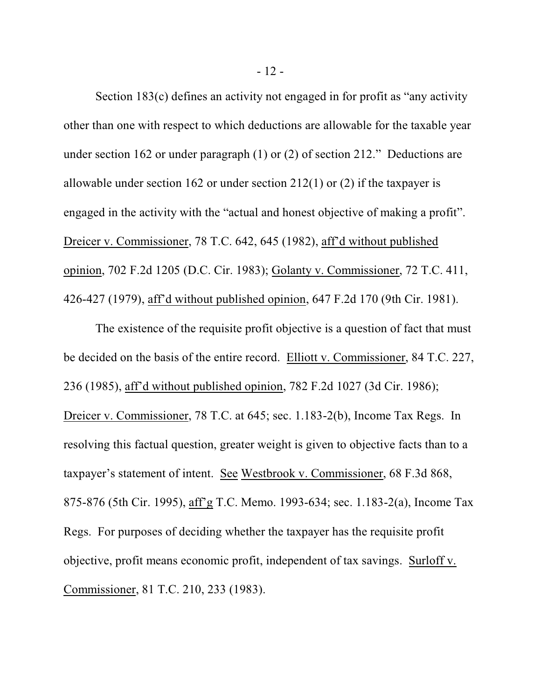Section 183(c) defines an activity not engaged in for profit as "any activity other than one with respect to which deductions are allowable for the taxable year under section 162 or under paragraph (1) or (2) of section 212." Deductions are allowable under section 162 or under section 212(1) or (2) if the taxpayer is engaged in the activity with the "actual and honest objective of making a profit". Dreicer v. Commissioner, 78 T.C. 642, 645 (1982), aff'd without published opinion, 702 F.2d 1205 (D.C. Cir. 1983); Golanty v. Commissioner, 72 T.C. 411, 426-427 (1979), aff'd without published opinion, 647 F.2d 170 (9th Cir. 1981).

The existence of the requisite profit objective is a question of fact that must be decided on the basis of the entire record. Elliott v. Commissioner, 84 T.C. 227, 236 (1985), aff'd without published opinion, 782 F.2d 1027 (3d Cir. 1986); Dreicer v. Commissioner, 78 T.C. at 645; sec. 1.183-2(b), Income Tax Regs. In resolving this factual question, greater weight is given to objective facts than to a taxpayer's statement of intent. See Westbrook v. Commissioner, 68 F.3d 868, 875-876 (5th Cir. 1995), aff'g T.C. Memo. 1993-634; sec. 1.183-2(a), Income Tax Regs. For purposes of deciding whether the taxpayer has the requisite profit objective, profit means economic profit, independent of tax savings. Surloff v. Commissioner, 81 T.C. 210, 233 (1983).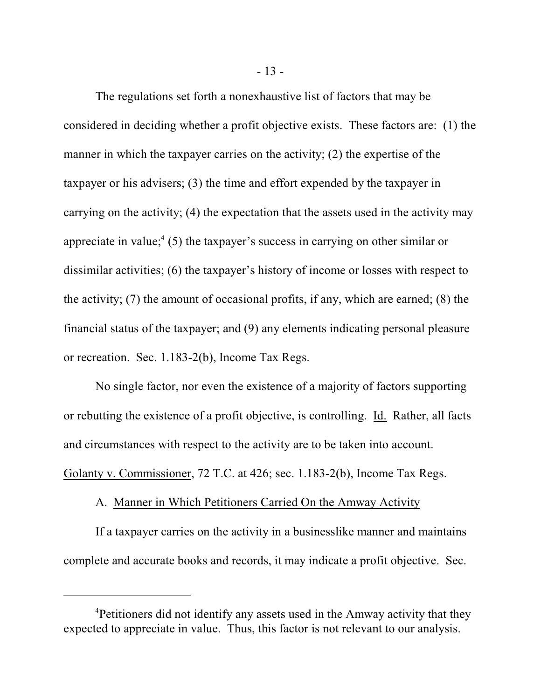The regulations set forth a nonexhaustive list of factors that may be considered in deciding whether a profit objective exists. These factors are: (1) the manner in which the taxpayer carries on the activity; (2) the expertise of the taxpayer or his advisers; (3) the time and effort expended by the taxpayer in carrying on the activity; (4) the expectation that the assets used in the activity may appreciate in value; $(5)$  the taxpayer's success in carrying on other similar or dissimilar activities; (6) the taxpayer's history of income or losses with respect to the activity; (7) the amount of occasional profits, if any, which are earned; (8) the financial status of the taxpayer; and (9) any elements indicating personal pleasure or recreation. Sec. 1.183-2(b), Income Tax Regs.

No single factor, nor even the existence of a majority of factors supporting or rebutting the existence of a profit objective, is controlling. Id. Rather, all facts and circumstances with respect to the activity are to be taken into account. Golanty v. Commissioner, 72 T.C. at 426; sec. 1.183-2(b), Income Tax Regs.

## A. Manner in Which Petitioners Carried On the Amway Activity

If a taxpayer carries on the activity in a businesslike manner and maintains complete and accurate books and records, it may indicate a profit objective. Sec.

<sup>&</sup>lt;sup>4</sup>Petitioners did not identify any assets used in the Amway activity that they expected to appreciate in value. Thus, this factor is not relevant to our analysis.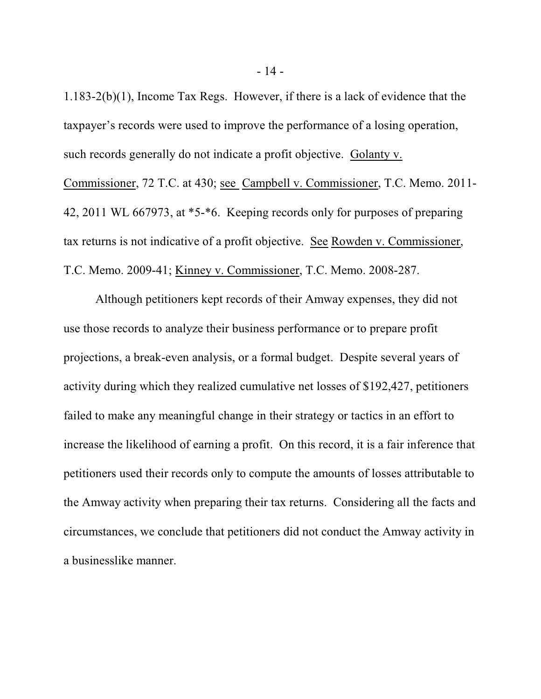1.183-2(b)(1), Income Tax Regs. However, if there is a lack of evidence that the taxpayer's records were used to improve the performance of a losing operation, such records generally do not indicate a profit objective. Golanty v. Commissioner, 72 T.C. at 430; see Campbell v. Commissioner, T.C. Memo. 2011- 42, 2011 WL 667973, at \*5-\*6. Keeping records only for purposes of preparing tax returns is not indicative of a profit objective. See Rowden v. Commissioner, T.C. Memo. 2009-41; Kinney v. Commissioner, T.C. Memo. 2008-287.

Although petitioners kept records of their Amway expenses, they did not use those records to analyze their business performance or to prepare profit projections, a break-even analysis, or a formal budget. Despite several years of activity during which they realized cumulative net losses of \$192,427, petitioners failed to make any meaningful change in their strategy or tactics in an effort to increase the likelihood of earning a profit. On this record, it is a fair inference that petitioners used their records only to compute the amounts of losses attributable to the Amway activity when preparing their tax returns. Considering all the facts and circumstances, we conclude that petitioners did not conduct the Amway activity in a businesslike manner.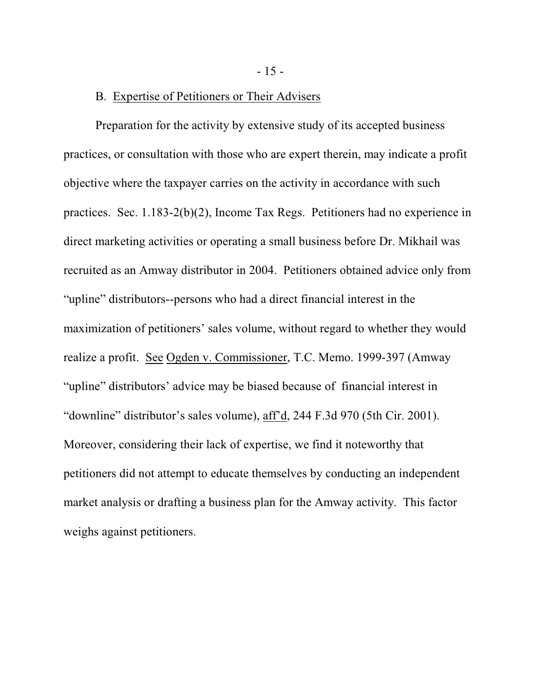- 15 -

# B. Expertise of Petitioners or Their Advisers

Preparation for the activity by extensive study of its accepted business practices, or consultation with those who are expert therein, may indicate a profit objective where the taxpayer carries on the activity in accordance with such practices. Sec. 1.183-2(b)(2), Income Tax Regs. Petitioners had no experience in direct marketing activities or operating a small business before Dr. Mikhail was recruited as an Amway distributor in 2004. Petitioners obtained advice only from "upline" distributors--persons who had a direct financial interest in the maximization of petitioners' sales volume, without regard to whether they would realize a profit. See Ogden v. Commissioner, T.C. Memo. 1999-397 (Amway "upline" distributors' advice may be biased because of financial interest in "downline" distributor's sales volume), aff'd, 244 F.3d 970 (5th Cir. 2001). Moreover, considering their lack of expertise, we find it noteworthy that petitioners did not attempt to educate themselves by conducting an independent market analysis or drafting a business plan for the Amway activity. This factor weighs against petitioners.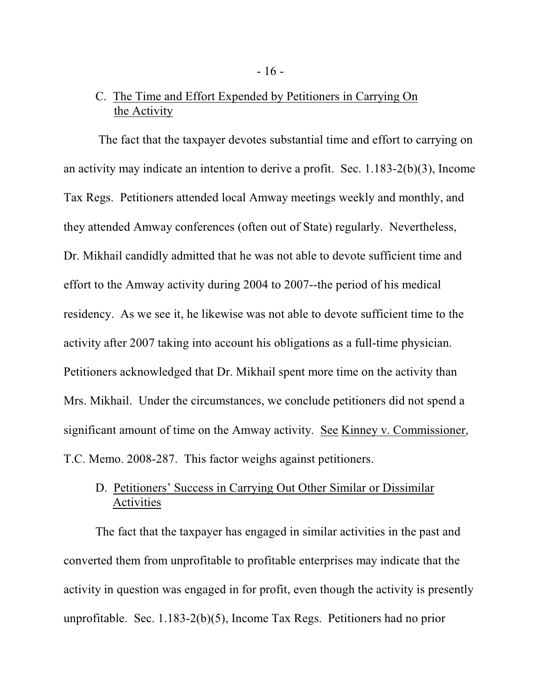# C. The Time and Effort Expended by Petitioners in Carrying On the Activity

 The fact that the taxpayer devotes substantial time and effort to carrying on an activity may indicate an intention to derive a profit. Sec. 1.183-2(b)(3), Income Tax Regs. Petitioners attended local Amway meetings weekly and monthly, and they attended Amway conferences (often out of State) regularly. Nevertheless, Dr. Mikhail candidly admitted that he was not able to devote sufficient time and effort to the Amway activity during 2004 to 2007--the period of his medical residency. As we see it, he likewise was not able to devote sufficient time to the activity after 2007 taking into account his obligations as a full-time physician. Petitioners acknowledged that Dr. Mikhail spent more time on the activity than Mrs. Mikhail. Under the circumstances, we conclude petitioners did not spend a significant amount of time on the Amway activity. See Kinney v. Commissioner, T.C. Memo. 2008-287. This factor weighs against petitioners.

# D. Petitioners' Success in Carrying Out Other Similar or Dissimilar Activities

The fact that the taxpayer has engaged in similar activities in the past and converted them from unprofitable to profitable enterprises may indicate that the activity in question was engaged in for profit, even though the activity is presently unprofitable. Sec. 1.183-2(b)(5), Income Tax Regs. Petitioners had no prior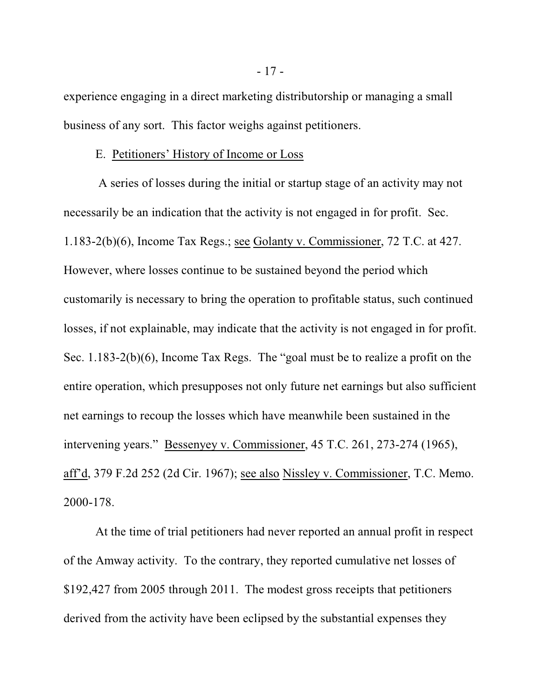experience engaging in a direct marketing distributorship or managing a small business of any sort. This factor weighs against petitioners.

#### E. Petitioners' History of Income or Loss

 A series of losses during the initial or startup stage of an activity may not necessarily be an indication that the activity is not engaged in for profit. Sec. 1.183-2(b)(6), Income Tax Regs.; see Golanty v. Commissioner, 72 T.C. at 427. However, where losses continue to be sustained beyond the period which customarily is necessary to bring the operation to profitable status, such continued losses, if not explainable, may indicate that the activity is not engaged in for profit. Sec. 1.183-2(b)(6), Income Tax Regs. The "goal must be to realize a profit on the entire operation, which presupposes not only future net earnings but also sufficient net earnings to recoup the losses which have meanwhile been sustained in the intervening years." Bessenyey v. Commissioner, 45 T.C. 261, 273-274 (1965), aff'd, 379 F.2d 252 (2d Cir. 1967); see also Nissley v. Commissioner, T.C. Memo. 2000-178.

At the time of trial petitioners had never reported an annual profit in respect of the Amway activity. To the contrary, they reported cumulative net losses of \$192,427 from 2005 through 2011. The modest gross receipts that petitioners derived from the activity have been eclipsed by the substantial expenses they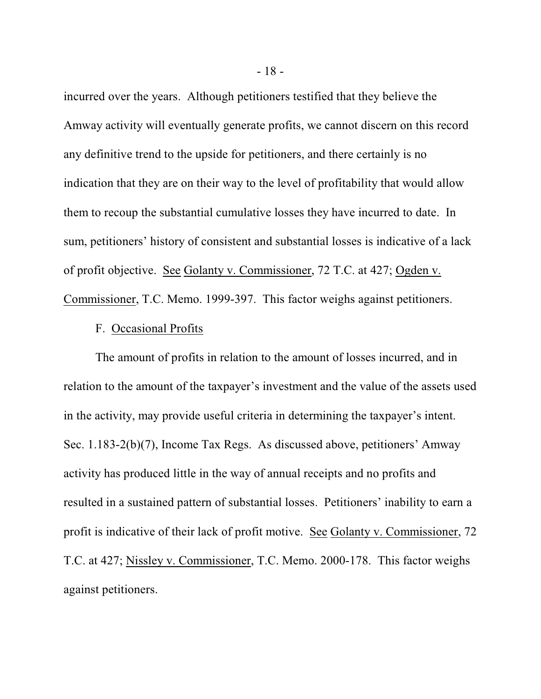incurred over the years. Although petitioners testified that they believe the Amway activity will eventually generate profits, we cannot discern on this record any definitive trend to the upside for petitioners, and there certainly is no indication that they are on their way to the level of profitability that would allow them to recoup the substantial cumulative losses they have incurred to date. In sum, petitioners' history of consistent and substantial losses is indicative of a lack of profit objective. See Golanty v. Commissioner, 72 T.C. at 427; Ogden v. Commissioner, T.C. Memo. 1999-397. This factor weighs against petitioners.

#### F. Occasional Profits

The amount of profits in relation to the amount of losses incurred, and in relation to the amount of the taxpayer's investment and the value of the assets used in the activity, may provide useful criteria in determining the taxpayer's intent. Sec. 1.183-2(b)(7), Income Tax Regs. As discussed above, petitioners' Amway activity has produced little in the way of annual receipts and no profits and resulted in a sustained pattern of substantial losses. Petitioners' inability to earn a profit is indicative of their lack of profit motive. See Golanty v. Commissioner, 72 T.C. at 427; Nissley v. Commissioner, T.C. Memo. 2000-178. This factor weighs against petitioners.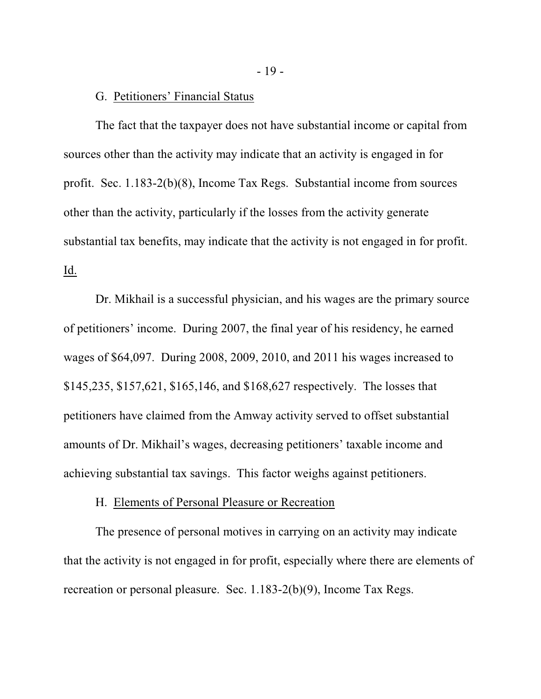#### G. Petitioners' Financial Status

The fact that the taxpayer does not have substantial income or capital from sources other than the activity may indicate that an activity is engaged in for profit. Sec. 1.183-2(b)(8), Income Tax Regs. Substantial income from sources other than the activity, particularly if the losses from the activity generate substantial tax benefits, may indicate that the activity is not engaged in for profit. Id.

Dr. Mikhail is a successful physician, and his wages are the primary source of petitioners' income. During 2007, the final year of his residency, he earned wages of \$64,097. During 2008, 2009, 2010, and 2011 his wages increased to \$145,235, \$157,621, \$165,146, and \$168,627 respectively. The losses that petitioners have claimed from the Amway activity served to offset substantial amounts of Dr. Mikhail's wages, decreasing petitioners' taxable income and achieving substantial tax savings. This factor weighs against petitioners.

## H. Elements of Personal Pleasure or Recreation

The presence of personal motives in carrying on an activity may indicate that the activity is not engaged in for profit, especially where there are elements of recreation or personal pleasure. Sec. 1.183-2(b)(9), Income Tax Regs.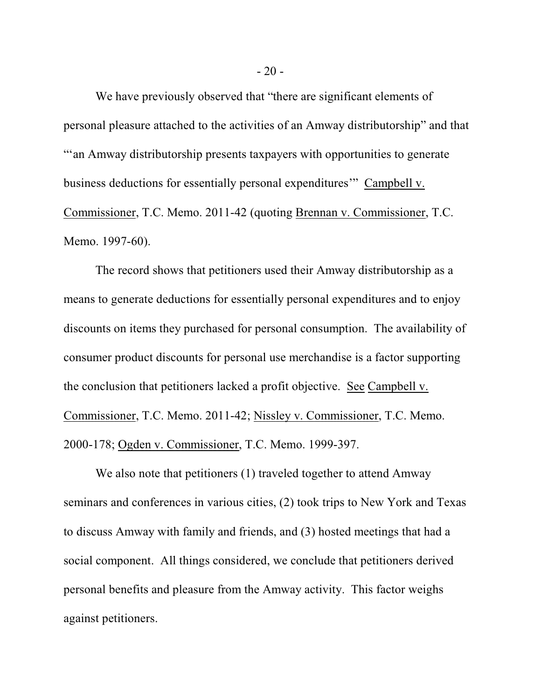We have previously observed that "there are significant elements of personal pleasure attached to the activities of an Amway distributorship" and that "'an Amway distributorship presents taxpayers with opportunities to generate business deductions for essentially personal expenditures'" Campbell v. Commissioner, T.C. Memo. 2011-42 (quoting Brennan v. Commissioner, T.C. Memo. 1997-60).

The record shows that petitioners used their Amway distributorship as a means to generate deductions for essentially personal expenditures and to enjoy discounts on items they purchased for personal consumption. The availability of consumer product discounts for personal use merchandise is a factor supporting the conclusion that petitioners lacked a profit objective. See Campbell v. Commissioner, T.C. Memo. 2011-42; Nissley v. Commissioner, T.C. Memo. 2000-178; Ogden v. Commissioner, T.C. Memo. 1999-397.

We also note that petitioners (1) traveled together to attend Amway seminars and conferences in various cities, (2) took trips to New York and Texas to discuss Amway with family and friends, and (3) hosted meetings that had a social component. All things considered, we conclude that petitioners derived personal benefits and pleasure from the Amway activity. This factor weighs against petitioners.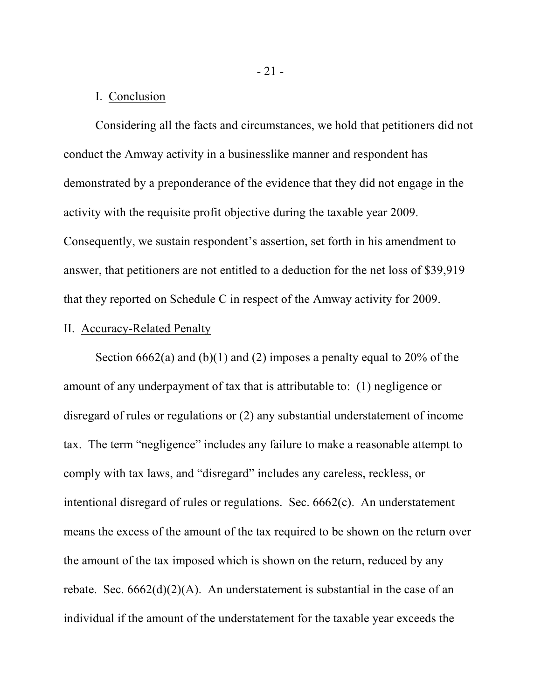## I. Conclusion

Considering all the facts and circumstances, we hold that petitioners did not conduct the Amway activity in a businesslike manner and respondent has demonstrated by a preponderance of the evidence that they did not engage in the activity with the requisite profit objective during the taxable year 2009. Consequently, we sustain respondent's assertion, set forth in his amendment to answer, that petitioners are not entitled to a deduction for the net loss of \$39,919 that they reported on Schedule C in respect of the Amway activity for 2009.

#### II. Accuracy-Related Penalty

Section  $6662(a)$  and  $(b)(1)$  and  $(2)$  imposes a penalty equal to  $20\%$  of the amount of any underpayment of tax that is attributable to: (1) negligence or disregard of rules or regulations or (2) any substantial understatement of income tax. The term "negligence" includes any failure to make a reasonable attempt to comply with tax laws, and "disregard" includes any careless, reckless, or intentional disregard of rules or regulations. Sec. 6662(c). An understatement means the excess of the amount of the tax required to be shown on the return over the amount of the tax imposed which is shown on the return, reduced by any rebate. Sec.  $6662(d)(2)(A)$ . An understatement is substantial in the case of an individual if the amount of the understatement for the taxable year exceeds the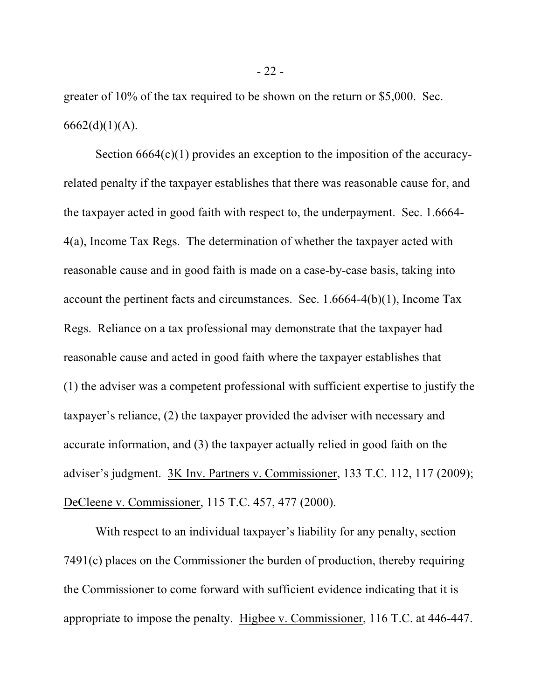greater of 10% of the tax required to be shown on the return or \$5,000. Sec.  $6662(d)(1)(A)$ .

Section  $6664(c)(1)$  provides an exception to the imposition of the accuracyrelated penalty if the taxpayer establishes that there was reasonable cause for, and the taxpayer acted in good faith with respect to, the underpayment. Sec. 1.6664- 4(a), Income Tax Regs. The determination of whether the taxpayer acted with reasonable cause and in good faith is made on a case-by-case basis, taking into account the pertinent facts and circumstances. Sec. 1.6664-4(b)(1), Income Tax Regs. Reliance on a tax professional may demonstrate that the taxpayer had reasonable cause and acted in good faith where the taxpayer establishes that (1) the adviser was a competent professional with sufficient expertise to justify the taxpayer's reliance, (2) the taxpayer provided the adviser with necessary and accurate information, and (3) the taxpayer actually relied in good faith on the adviser's judgment. 3K Inv. Partners v. Commissioner, 133 T.C. 112, 117 (2009); DeCleene v. Commissioner, 115 T.C. 457, 477 (2000).

With respect to an individual taxpayer's liability for any penalty, section 7491(c) places on the Commissioner the burden of production, thereby requiring the Commissioner to come forward with sufficient evidence indicating that it is appropriate to impose the penalty. Higbee v. Commissioner, 116 T.C. at 446-447.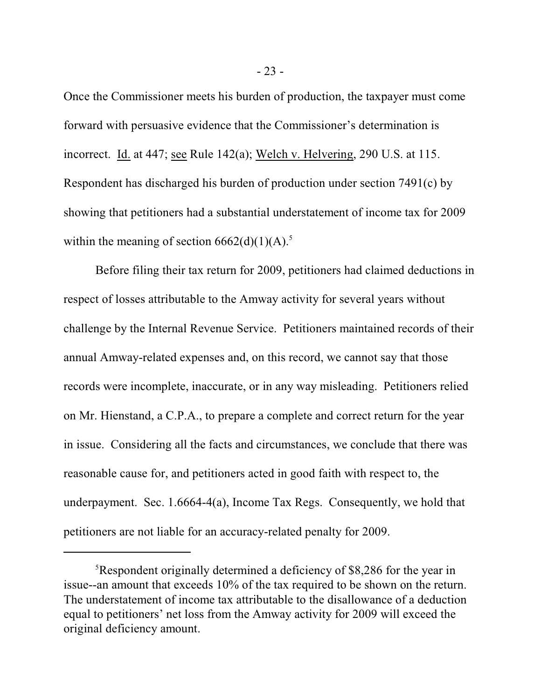Once the Commissioner meets his burden of production, the taxpayer must come forward with persuasive evidence that the Commissioner's determination is incorrect. Id. at 447; see Rule 142(a); Welch v. Helvering, 290 U.S. at 115. Respondent has discharged his burden of production under section 7491(c) by showing that petitioners had a substantial understatement of income tax for 2009 within the meaning of section  $6662(d)(1)(A)$ .<sup>5</sup>

Before filing their tax return for 2009, petitioners had claimed deductions in respect of losses attributable to the Amway activity for several years without challenge by the Internal Revenue Service. Petitioners maintained records of their annual Amway-related expenses and, on this record, we cannot say that those records were incomplete, inaccurate, or in any way misleading. Petitioners relied on Mr. Hienstand, a C.P.A., to prepare a complete and correct return for the year in issue. Considering all the facts and circumstances, we conclude that there was reasonable cause for, and petitioners acted in good faith with respect to, the underpayment. Sec. 1.6664-4(a), Income Tax Regs. Consequently, we hold that petitioners are not liable for an accuracy-related penalty for 2009.

<sup>&</sup>lt;sup>5</sup>Respondent originally determined a deficiency of \$8,286 for the year in issue--an amount that exceeds 10% of the tax required to be shown on the return. The understatement of income tax attributable to the disallowance of a deduction equal to petitioners' net loss from the Amway activity for 2009 will exceed the original deficiency amount.